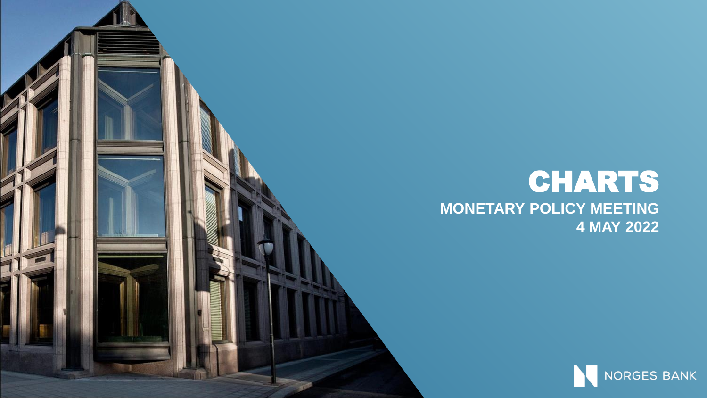#### CHARTS **MONETARY POLICY MEETING 4 MAY 2022**

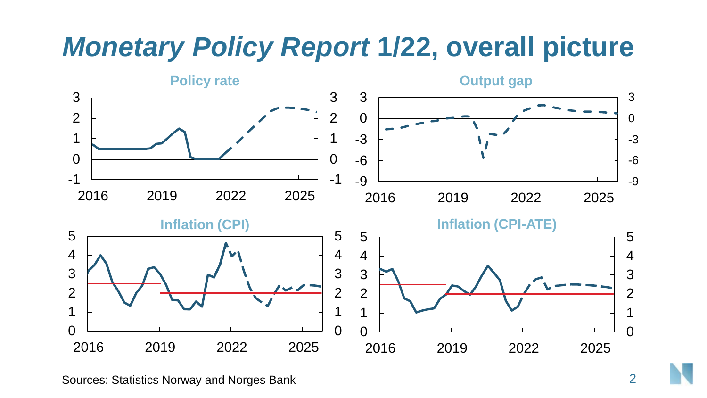#### *Monetary Policy Report* **1/22, overall picture**



Sources: Statistics Norway and Norges Bank 2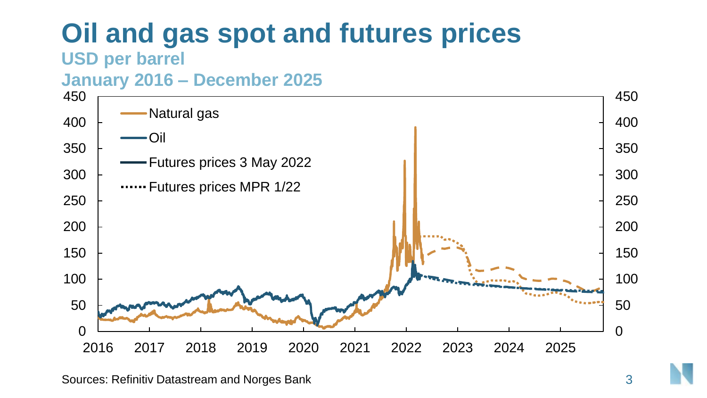# **Oil and gas spot and futures prices**

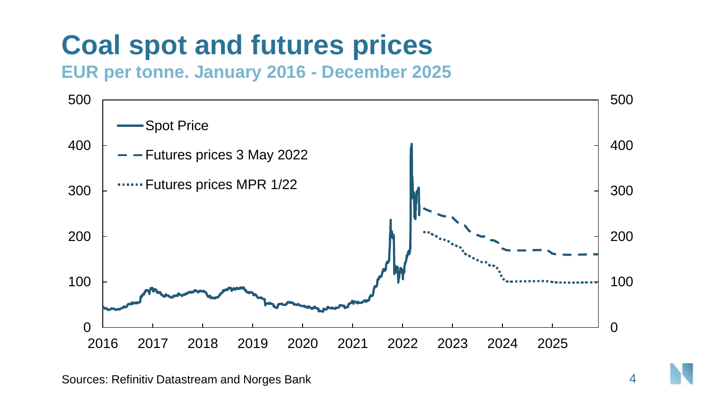### **Coal spot and futures prices**

**EUR per tonne. January 2016 - December 2025**

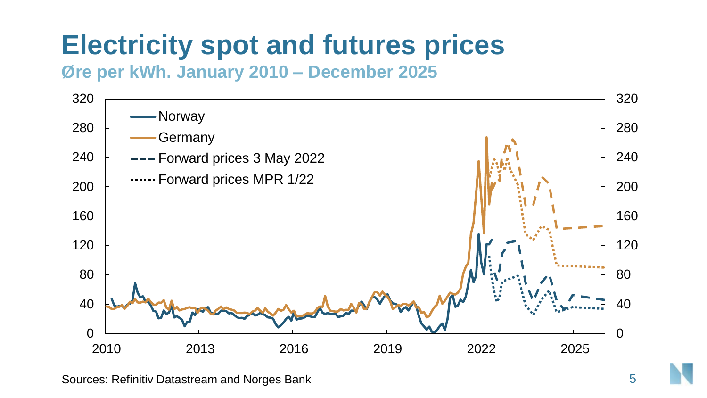# **Electricity spot and futures prices**

**Øre per kWh. January 2010 – December 2025**



Sources: Refinitiv Datastream and Norges Bank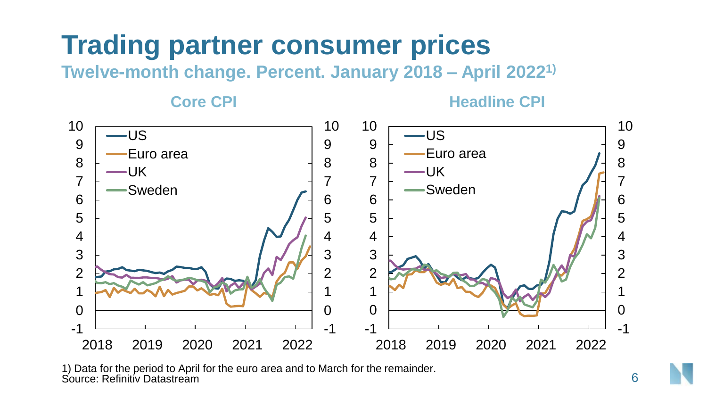#### **Trading partner consumer prices**

**Twelve-month change. Percent. January 2018 – April 20221)**

**Core CPI Headline CPI** 



1) Data for the period to April for the euro area and to March for the remainder. Source: Refinitiv Datastream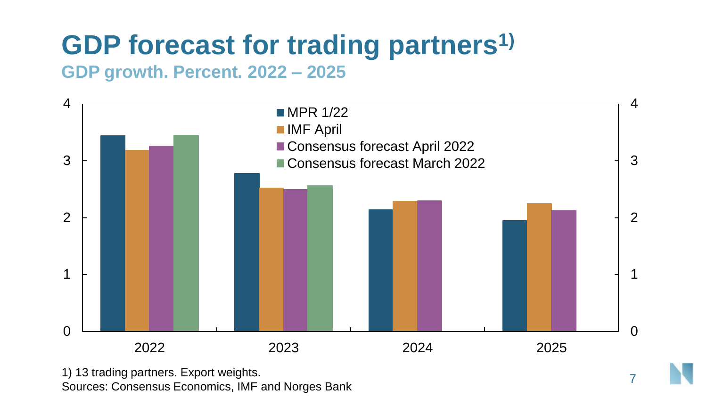## **GDP forecast for trading partners1)**

#### **GDP growth. Percent. 2022 – 2025**



1) 13 trading partners. Export weights. Sources: Consensus Economics, IMF and Norges Bank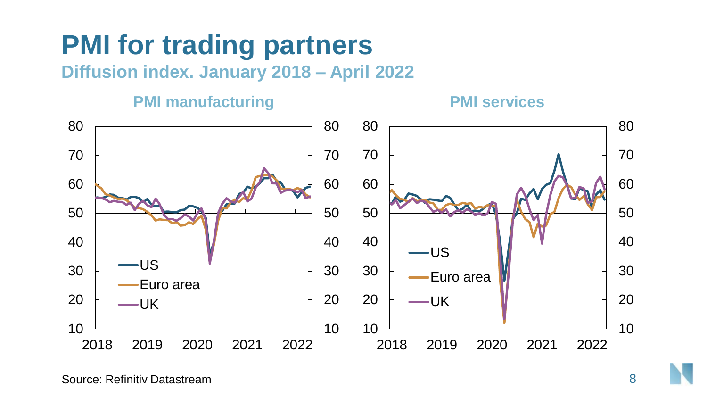# **PMI for trading partners**

**Diffusion index. January 2018 – April 2022**

#### **PMI manufacturing PMI services**

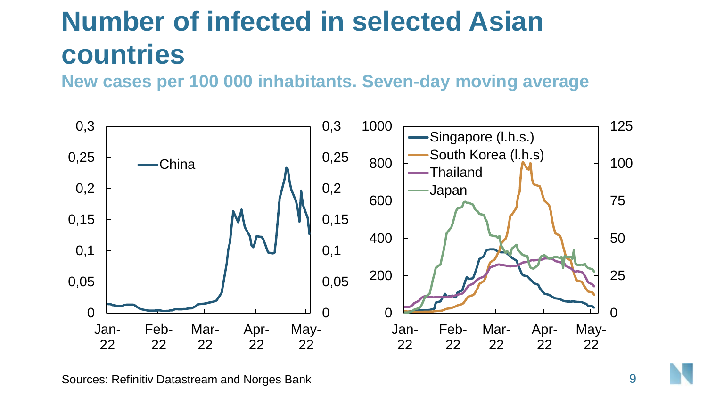# **Number of infected in selected Asian countries**

**New cases per 100 000 inhabitants. Seven-day moving average**

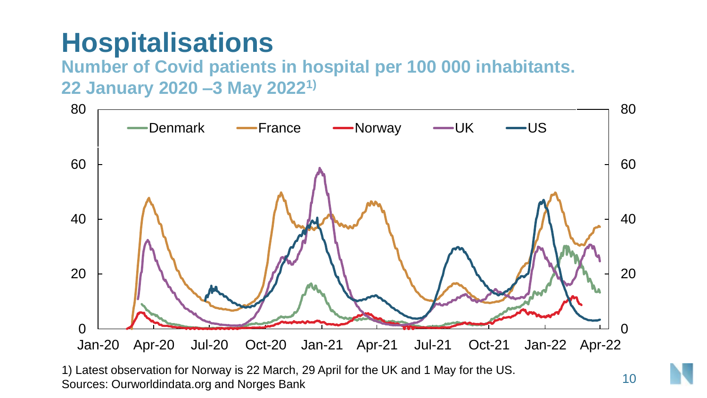#### **Hospitalisations**

**Number of Covid patients in hospital per 100 000 inhabitants. 22 January 2020 –3 May 20221)** 



1) Latest observation for Norway is 22 March, 29 April for the UK and 1 May for the US. Sources: Ourworldindata.org and Norges Bank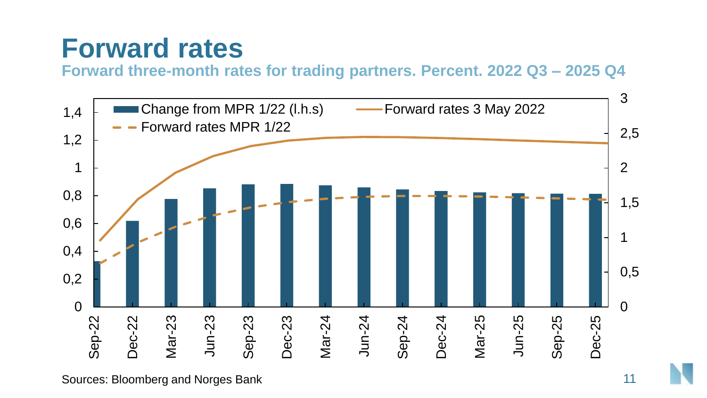#### **Forward rates**

**Forward three-month rates for trading partners. Percent. 2022 Q3 – 2025 Q4**



Sources: Bloomberg and Norges Bank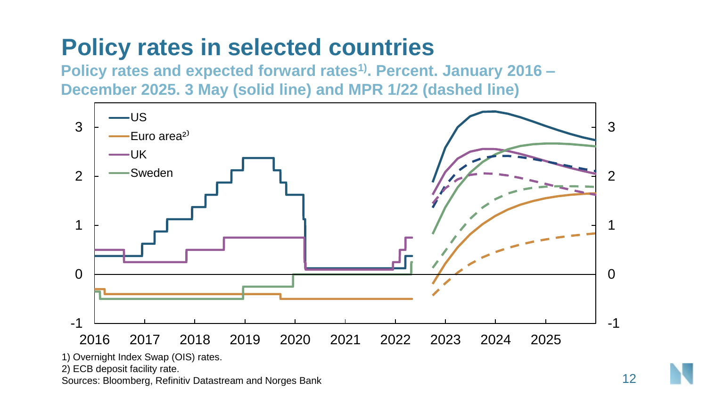#### **Policy rates in selected countries**

**Policy rates and expected forward rates1). Percent. January 2016 – December 2025. 3 May (solid line) and MPR 1/22 (dashed line)**



1) Overnight Index Swap (OIS) rates.

2) ECB deposit facility rate.

Sources: Bloomberg, Refinitiv Datastream and Norges Bank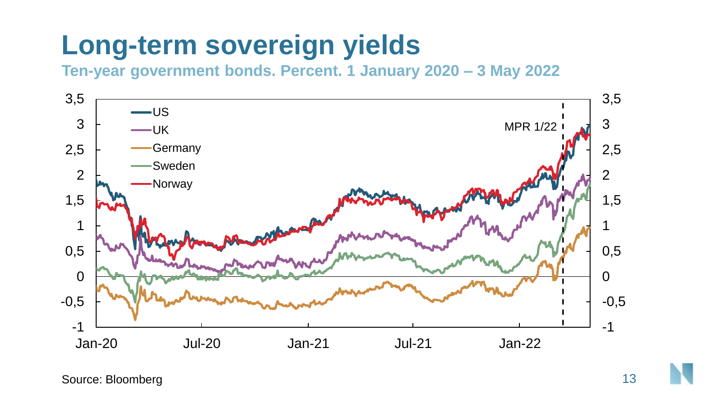#### **Long-term sovereign yields**

**Ten-year government bonds. Percent. 1 January 2020 – 3 May 2022**



Source: Bloomberg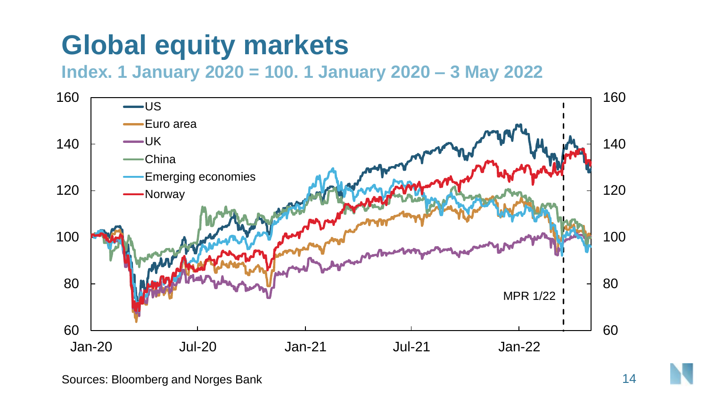#### **Global equity markets**

**Index. 1 January 2020 = 100. 1 January 2020 – 3 May 2022**

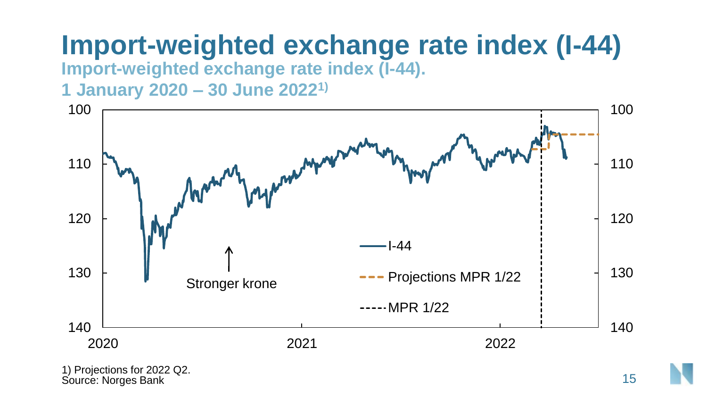# **Import-weighted exchange rate index (I-44)**

**Import-weighted exchange rate index (I-44).** 

**1 January 2020 – 30 June 20221)**



1) Projections for 2022 Q2. Source: Norges Bank 15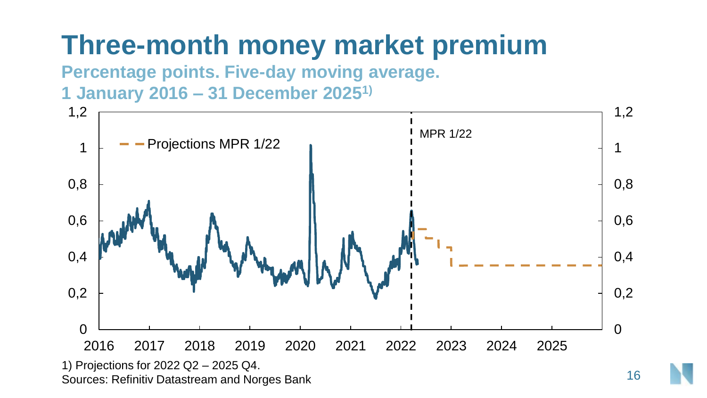#### **Three-month money market premium**

**Percentage points. Five-day moving average.** 

**1 January 2016 – 31 December 20251)**



16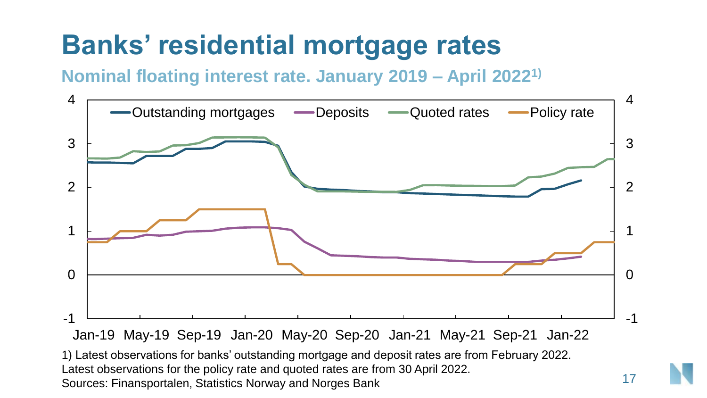#### **Banks' residential mortgage rates**

**Nominal floating interest rate. January 2019 – April 20221)**



Latest observations for the policy rate and quoted rates are from 30 April 2022. Sources: Finansportalen, Statistics Norway and Norges Bank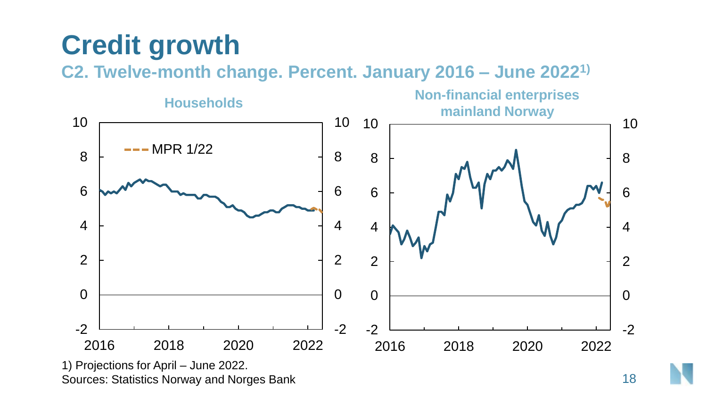# **Credit growth**

**C2. Twelve-month change. Percent. January 2016 – June 20221)**



Sources: Statistics Norway and Norges Bank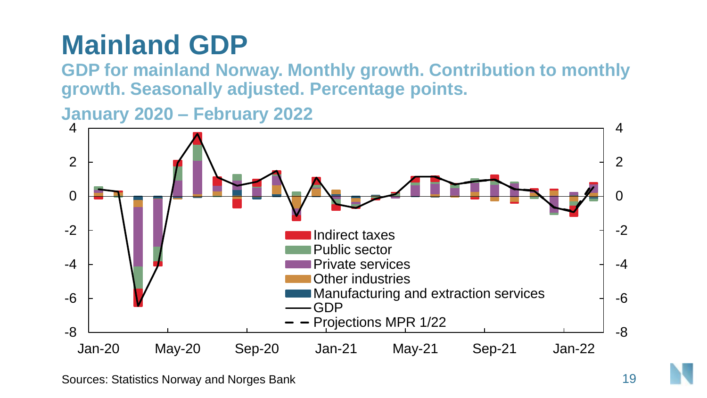# **Mainland GDP**

**GDP for mainland Norway. Monthly growth. Contribution to monthly growth. Seasonally adjusted. Percentage points.** 

**January 2020 – February 2022**



Sources: Statistics Norway and Norges Bank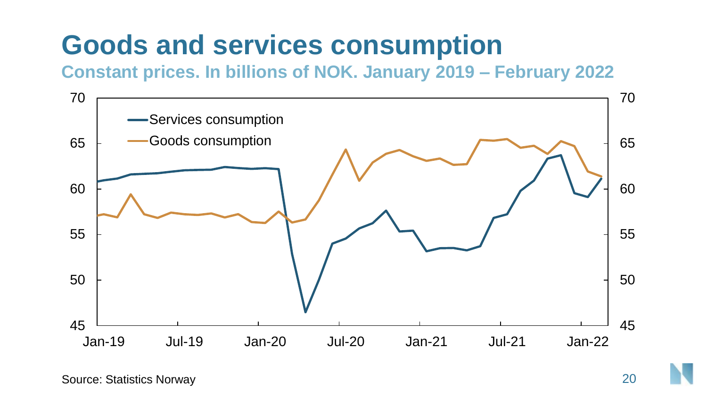#### **Goods and services consumption**

**Constant prices. In billions of NOK. January 2019 – February 2022**

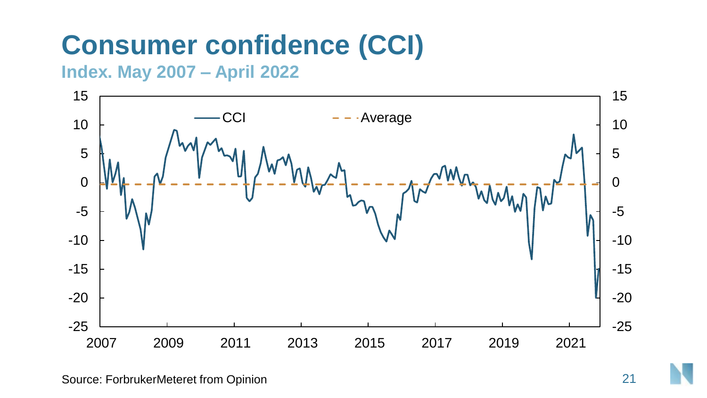# **Consumer confidence (CCI)**

**Index. May 2007 – April 2022**

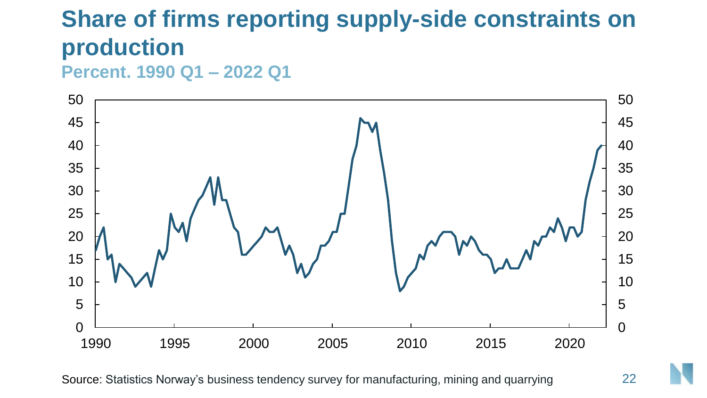#### **Share of firms reporting supply-side constraints on production**

**Percent. 1990 Q1 – 2022 Q1**



Source: Statistics Norway's business tendency survey for manufacturing, mining and quarrying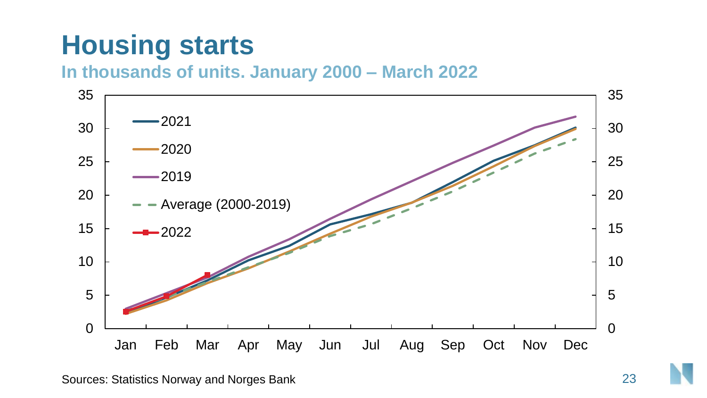# **Housing starts**

**In thousands of units. January 2000 – March 2022** 

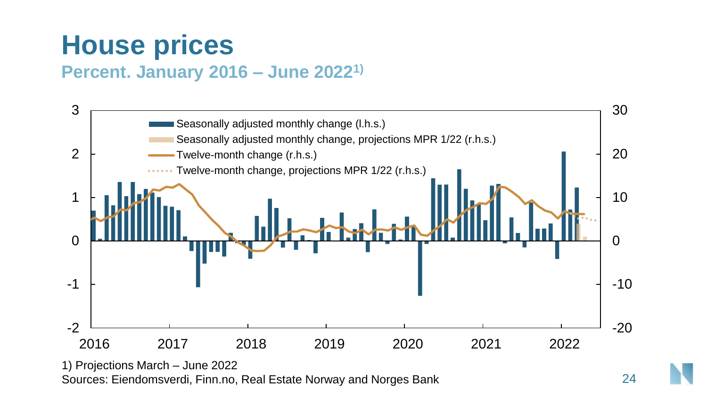#### **House prices**

#### **Percent. January 2016 – June 20221)**



Sources: Eiendomsverdi, Finn.no, Real Estate Norway and Norges Bank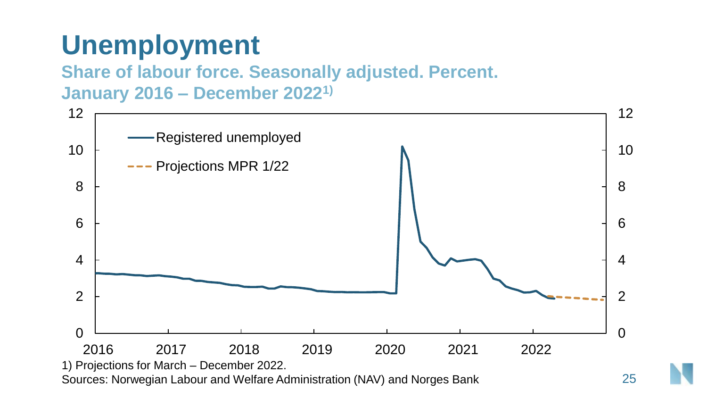# **Unemployment**

#### **Share of labour force. Seasonally adjusted. Percent. January 2016 – December 20221)**

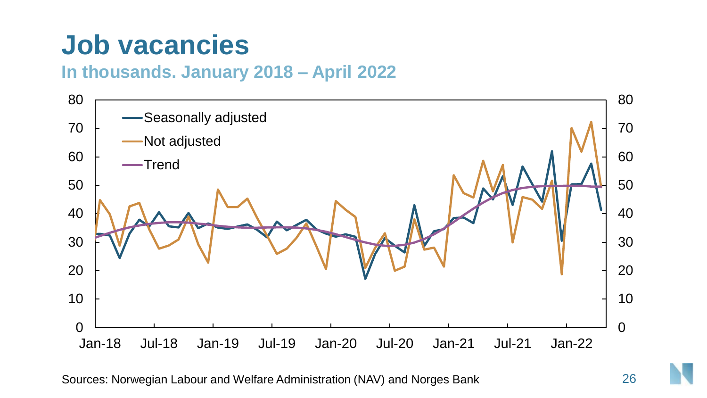#### **Job vacancies**

#### **In thousands. January 2018 – April 2022**



Sources: Norwegian Labour and Welfare Administration (NAV) and Norges Bank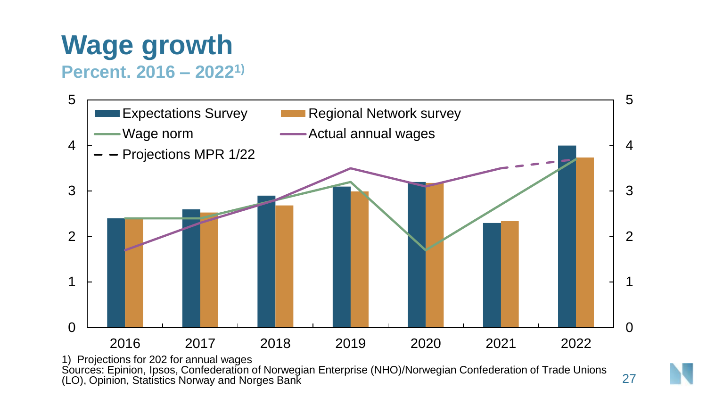# **Wage growth**

**Percent. 2016 – 20221)**



Sources: Epinion, Ipsos, Confederation of Norwegian Enterprise (NHO)/Norwegian Confederation of Trade Unions (LO), Opinion, Statistics Norway and Norges Bank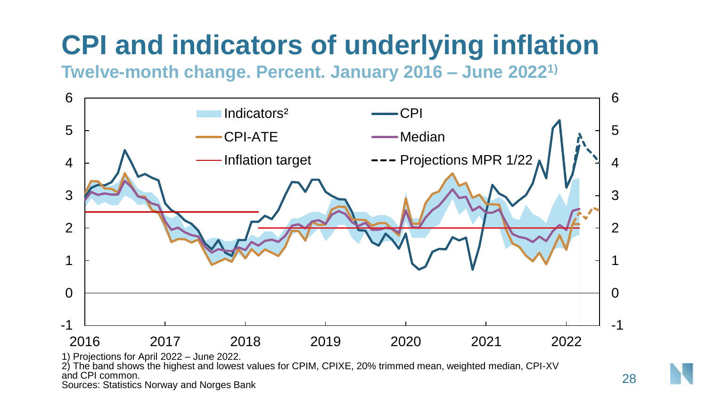# **CPI and indicators of underlying inflation**

**Twelve-month change. Percent. January 2016 – June 20221)**



Sources: Statistics Norway and Norges Bank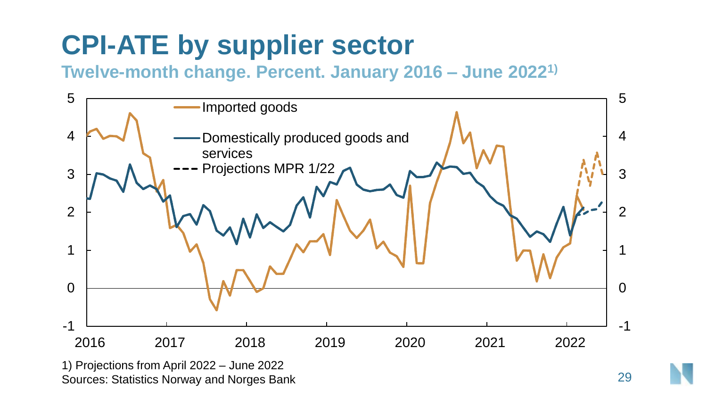#### **CPI-ATE by supplier sector**

#### **Twelve-month change. Percent. January 2016 – June 20221)**



Sources: Statistics Norway and Norges Bank